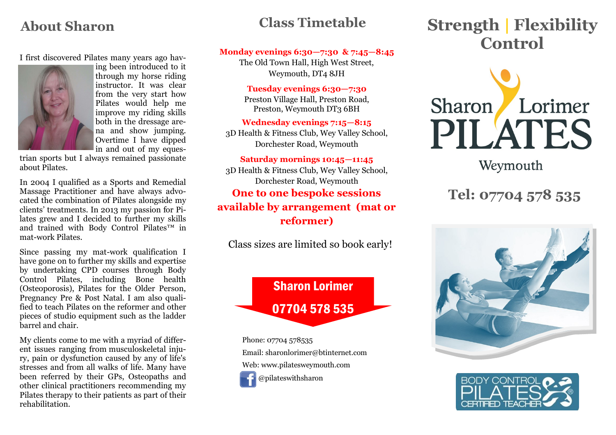# **Class Timetable**

#### I first discovered Pilates many years ago hav-



ing been introduced to it through my horse riding instructor. It was clear from the very start how Pilates would help me improve my riding skills both in the dressage arena and show jumping. Overtime I have dipped in and out of my eques-

trian sports but I always remained passionate about Pilates.

In 2004 I qualified as a Sports and Remedial Massage Practitioner and have always advocated the combination of Pilates alongside my clients' treatments. In 2013 my passion for Pilates grew and I decided to further my skills and trained with Body Control Pilates™ in mat-work Pilates.

Since passing my mat-work qualification I have gone on to further my skills and expertise by undertaking CPD courses through Body Control Pilates, including Bone health (Osteoporosis), Pilates for the Older Person, Pregnancy Pre & Post Natal. I am also qualified to teach Pilates on the reformer and other pieces of studio equipment such as the ladder barrel and chair.

My clients come to me with a myriad of different issues ranging from musculoskeletal injury, pain or dysfunction caused by any of life's stresses and from all walks of life. Many have been referred by their GPs, Osteopaths and other clinical practitioners recommending my Pilates therapy to their patients as part of their rehabilitation.

#### **Monday evenings 6:30—7:30 & 7:45—8:45**

The Old Town Hall, High West Street, Weymouth, DT4 8JH

#### **Tuesday evenings 6:30—7:30**

Preston Village Hall, Preston Road, Preston, Weymouth DT3 6BH

**Wednesday evenings 7:15—8:15** 3D Health & Fitness Club, Wey Valley School, Dorchester Road, Weymouth

#### **Saturday mornings 10:45—11:45**

3D Health & Fitness Club, Wey Valley School, Dorchester Road, Weymouth **One to one bespoke sessions available by arrangement (mat or reformer)** 

Class sizes are limited so book early!



Phone: 07704 578535 Email: sharonlorimer@btinternet.com Web: www.pilatesweymouth.com @pilateswithsharon

# About Sharon **Class Timetable Strength | Flexibility Control**



Weymouth

# **Tel: 07704 578 535**